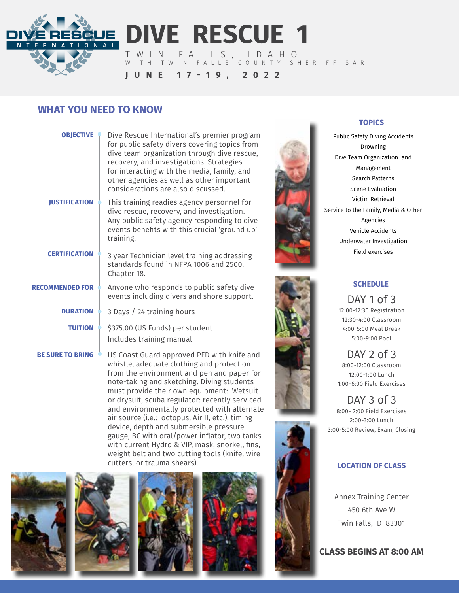

**DIVE RESCUE 1**

WITH TWIN FALLS COUNTY SHERIFF SAR

TWIN FALLS, IDAHO

**JUNE 17-19, 2022**

# **WHAT YOU NEED TO KNOW**

| <b>OBJECTIVE</b>        | Dive Rescue International's premier program<br>for public safety divers covering topics from<br>dive team organization through dive rescue,<br>recovery, and investigations. Strategies<br>for interacting with the media, family, and<br>other agencies as well as other important<br>considerations are also discussed. |
|-------------------------|---------------------------------------------------------------------------------------------------------------------------------------------------------------------------------------------------------------------------------------------------------------------------------------------------------------------------|
| <b>JUSTIFICATION</b>    | This training readies agency personnel for<br>dive rescue, recovery, and investigation.<br>Any public safety agency responding to dive<br>events benefits with this crucial 'ground up'<br>training.                                                                                                                      |
| <b>CERTIFICATION</b>    | 3 year Technician level training addressing<br>standards found in NFPA 1006 and 2500,<br>Chapter 18.                                                                                                                                                                                                                      |
| <b>RECOMMENDED FOR</b>  | Anyone who responds to public safety dive<br>events including divers and shore support.                                                                                                                                                                                                                                   |
| <b>DURATION</b>         | 3 Days / 24 training hours                                                                                                                                                                                                                                                                                                |
| <b>TUITION</b>          | \$375.00 (US Funds) per student<br>Includes training manual                                                                                                                                                                                                                                                               |
| <b>BE SURE TO BRING</b> | US Coast Guard approved PFD with knife and                                                                                                                                                                                                                                                                                |

US Coast Guard approved PFD with knife and whistle, adequate clothing and protection from the environment and pen and paper for note-taking and sketching. Diving students must provide their own equipment: Wetsuit or drysuit, scuba regulator: recently serviced and environmentally protected with alternate air source (i.e.: octopus, Air II, etc.), timing device, depth and submersible pressure gauge, BC with oral/power inflator, two tanks with current Hydro & VIP, mask, snorkel, fins, weight belt and two cutting tools (knife, wire cutters, or trauma shears).











## **TOPICS**

Public Safety Diving Accidents Drowning Dive Team Organization and Management Search Patterns Scene Evaluation Victim Retrieval Service to the Family, Media & Other Agencies Vehicle Accidents Underwater Investigation Field exercises



## **SCHEDULE**

DAY 1 of 3 12:00-12:30 Registration 12:30-4:00 Classroom 4:00-5:00 Meal Break 5:00-9:00 Pool

DAY 2 of 3 8:00-12:00 Classroom 12:00-1:00 Lunch 1:00-6:00 Field Exercises

DAY 3 of 3 8:00- 2:00 Field Exercises 2:00-3:00 Lunch 3:00-5:00 Review, Exam, Closing

## **LOCATION OF CLASS**

Annex Training Center 450 6th Ave W Twin Falls, ID 83301

**CLASS BEGINS AT 8:00 AM**